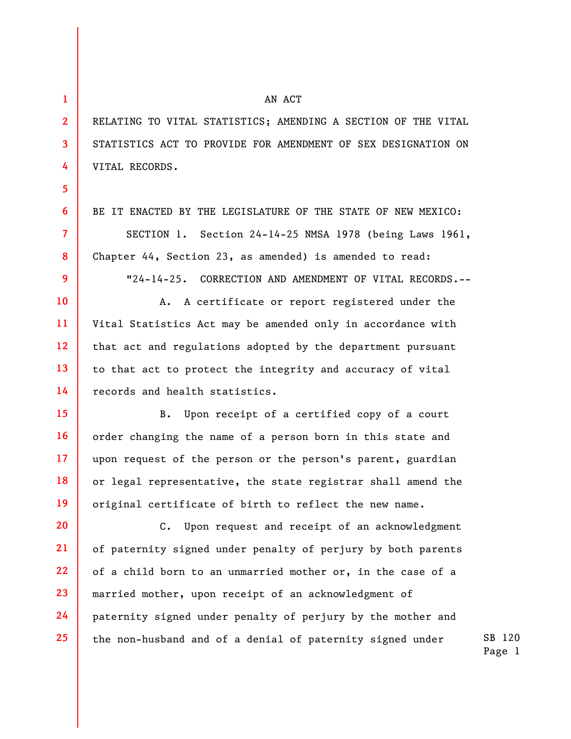**1** 

**2** 

**3** 

**4** 

**5** 

**6** 

**7** 

**8** 

**9** 

**10** 

**11** 

**12** 

**13** 

**14** 

**15** 

**16** 

**17** 

**18** 

**19** 

RELATING TO VITAL STATISTICS; AMENDING A SECTION OF THE VITAL STATISTICS ACT TO PROVIDE FOR AMENDMENT OF SEX DESIGNATION ON VITAL RECORDS.

AN ACT

BE IT ENACTED BY THE LEGISLATURE OF THE STATE OF NEW MEXICO:

SECTION 1. Section 24-14-25 NMSA 1978 (being Laws 1961, Chapter 44, Section 23, as amended) is amended to read:

"24-14-25. CORRECTION AND AMENDMENT OF VITAL RECORDS.--

A. A certificate or report registered under the Vital Statistics Act may be amended only in accordance with that act and regulations adopted by the department pursuant to that act to protect the integrity and accuracy of vital records and health statistics.

B. Upon receipt of a certified copy of a court order changing the name of a person born in this state and upon request of the person or the person's parent, guardian or legal representative, the state registrar shall amend the original certificate of birth to reflect the new name.

**20 21 22 23 24 25**  C. Upon request and receipt of an acknowledgment of paternity signed under penalty of perjury by both parents of a child born to an unmarried mother or, in the case of a married mother, upon receipt of an acknowledgment of paternity signed under penalty of perjury by the mother and the non-husband and of a denial of paternity signed under

SB 120 Page 1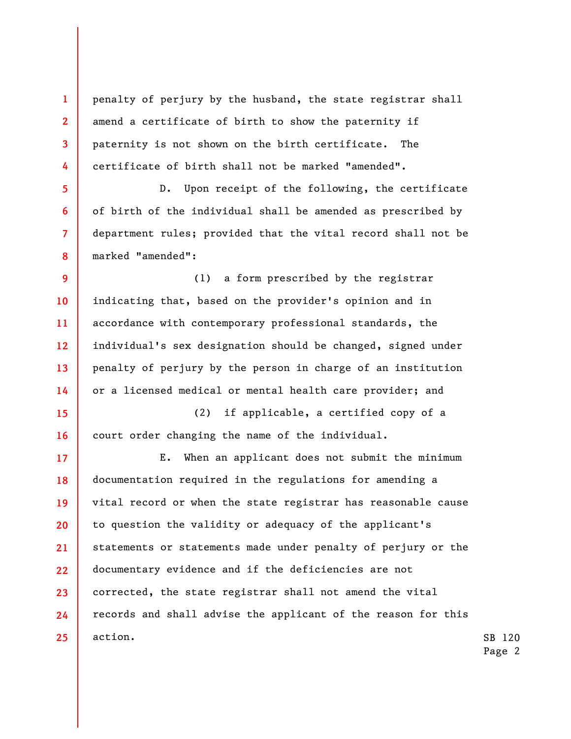penalty of perjury by the husband, the state registrar shall amend a certificate of birth to show the paternity if paternity is not shown on the birth certificate. The certificate of birth shall not be marked "amended".

**1** 

**2** 

**3** 

**4** 

**5** 

**6** 

**7** 

**8** 

D. Upon receipt of the following, the certificate of birth of the individual shall be amended as prescribed by department rules; provided that the vital record shall not be marked "amended":

**9 10 11 12 13 14**  (1) a form prescribed by the registrar indicating that, based on the provider's opinion and in accordance with contemporary professional standards, the individual's sex designation should be changed, signed under penalty of perjury by the person in charge of an institution or a licensed medical or mental health care provider; and

**15 16**  (2) if applicable, a certified copy of a court order changing the name of the individual.

**17 18 19 20 21 22 23 24 25**  E. When an applicant does not submit the minimum documentation required in the regulations for amending a vital record or when the state registrar has reasonable cause to question the validity or adequacy of the applicant's statements or statements made under penalty of perjury or the documentary evidence and if the deficiencies are not corrected, the state registrar shall not amend the vital records and shall advise the applicant of the reason for this action.

SB 120 Page 2